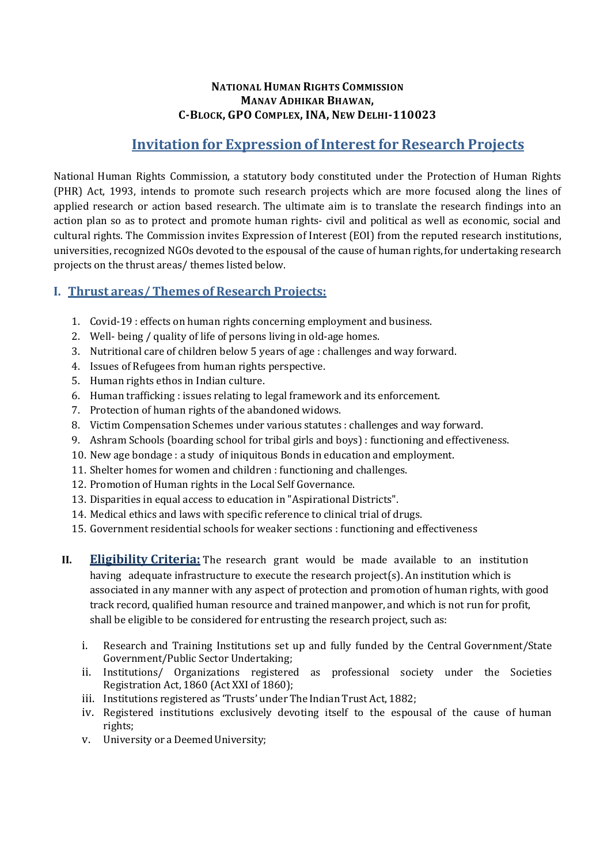#### NATIONAL HUMAN RIGHTS COMMISSION MANAV ADHIKAR BHAWAN, C-BLOCK, GPO COMPLEX, INA, NEW DELHI-110023

# Invitation for Expression of Interest for Research Projects

National Human Rights Commission, a statutory body constituted under the Protection of Human Rights (PHR) Act, 1993, intends to promote such research projects which are more focused along the lines of applied research or action based research. The ultimate aim is to translate the research findings into an action plan so as to protect and promote human rights- civil and political as well as economic, social and cultural rights. The Commission invites Expression of Interest (EOI) from the reputed research institutions, universities, recognized NGOs devoted to the espousal of the cause of human rights, for undertaking research projects on the thrust areas/ themes listed below.

# I. Thrust areas/ Themes of Research Projects:

- 1. Covid-19 : effects on human rights concerning employment and business.
- 2. Well- being / quality of life of persons living in old-age homes.
- 3. Nutritional care of children below 5 years of age : challenges and way forward.
- 4. Issues of Refugees from human rights perspective.
- 5. Human rights ethos in Indian culture.
- 6. Human trafficking : issues relating to legal framework and its enforcement.
- 7. Protection of human rights of the abandoned widows.
- 8. Victim Compensation Schemes under various statutes : challenges and way forward.
- 9. Ashram Schools (boarding school for tribal girls and boys) : functioning and effectiveness.
- 10. New age bondage : a study of iniquitous Bonds in education and employment.
- 11. Shelter homes for women and children : functioning and challenges.
- 12. Promotion of Human rights in the Local Self Governance.
- 13. Disparities in equal access to education in "Aspirational Districts".
- 14. Medical ethics and laws with specific reference to clinical trial of drugs.
- 15. Government residential schools for weaker sections : functioning and effectiveness
- II. Eligibility Criteria: The research grant would be made available to an institution having adequate infrastructure to execute the research project(s). An institution which is associated in any manner with any aspect of protection and promotion of human rights, with good track record, qualified human resource and trained manpower, and which is not run for profit, shall be eligible to be considered for entrusting the research project, such as:
	- i. Research and Training Institutions set up and fully funded by the Central Government/State Government/Public Sector Undertaking;
	- ii. Institutions/ Organizations registered as professional society under the Societies Registration Act, 1860 (Act XXI of 1860);
	- iii. Institutions registered as 'Trusts' under The Indian Trust Act, 1882;
	- iv. Registered institutions exclusively devoting itself to the espousal of the cause of human rights;
	- v. University or a Deemed University;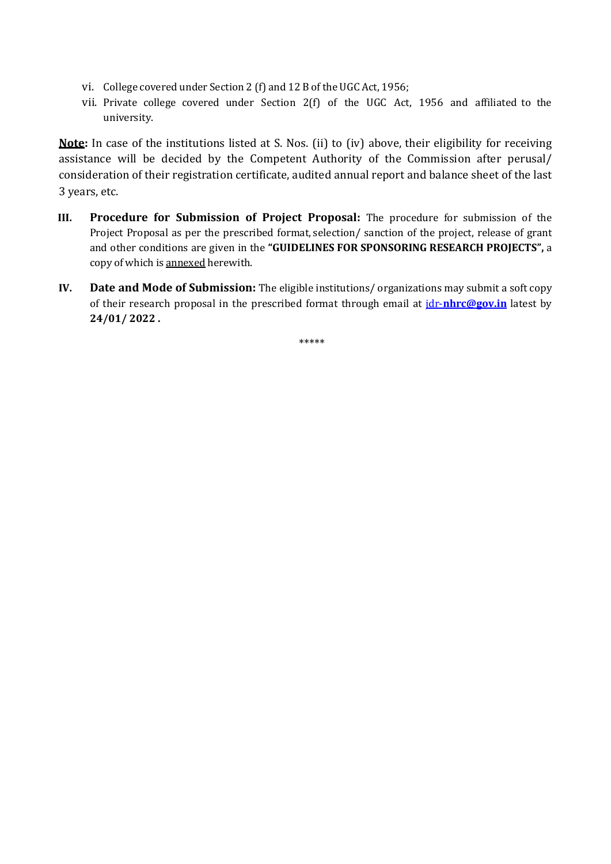- vi. College covered under Section 2 (f) and 12 B of the UGC Act, 1956;
- vii. Private college covered under Section 2(f) of the UGC Act, 1956 and affiliated to the university.

Note: In case of the institutions listed at S. Nos. (ii) to (iv) above, their eligibility for receiving assistance will be decided by the Competent Authority of the Commission after perusal/ consideration of their registration certificate, audited annual report and balance sheet of the last 3 years, etc.

- III. Procedure for Submission of Project Proposal: The procedure for submission of the Project Proposal as per the prescribed format, selection/ sanction of the project, release of grant and other conditions are given in the "GUIDELINES FOR SPONSORING RESEARCH PROJECTS", a copy of which is annexed herewith.
- IV. Date and Mode of Submission: The eligible institutions/ organizations may submit a soft copy of their research proposal in the prescribed format through email at  $\frac{d}{dr}$ -nhrc@gov.in latest by 24/01/ 2022 .

\*\*\*\*\*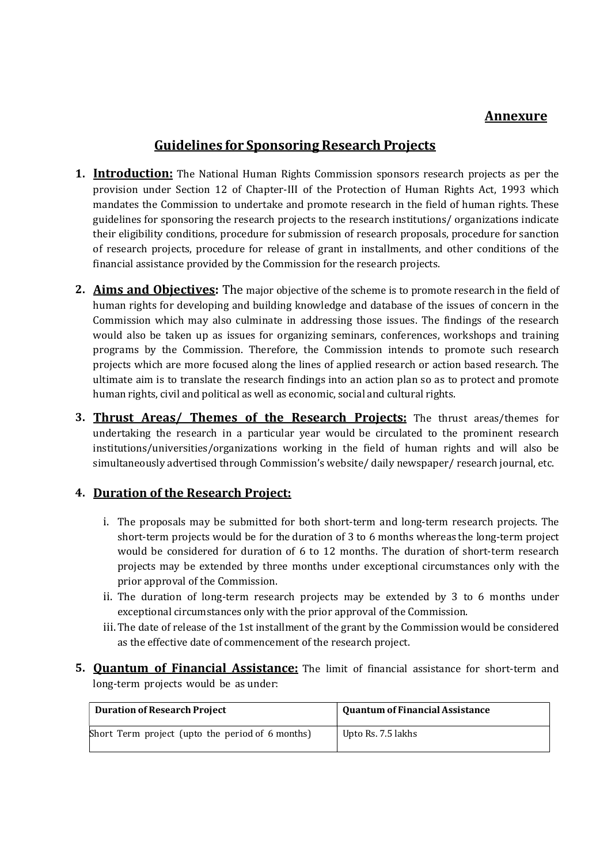# Annexure

# Guidelines for Sponsoring Research Projects

- 1. Introduction: The National Human Rights Commission sponsors research projects as per the provision under Section 12 of Chapter-III of the Protection of Human Rights Act, 1993 which mandates the Commission to undertake and promote research in the field of human rights. These guidelines for sponsoring the research projects to the research institutions/ organizations indicate their eligibility conditions, procedure for submission of research proposals, procedure for sanction of research projects, procedure for release of grant in installments, and other conditions of the financial assistance provided by the Commission for the research projects.
- 2. Aims and Objectives: The major objective of the scheme is to promote research in the field of human rights for developing and building knowledge and database of the issues of concern in the Commission which may also culminate in addressing those issues. The findings of the research would also be taken up as issues for organizing seminars, conferences, workshops and training programs by the Commission. Therefore, the Commission intends to promote such research projects which are more focused along the lines of applied research or action based research. The ultimate aim is to translate the research findings into an action plan so as to protect and promote human rights, civil and political as well as economic, social and cultural rights.
- **3. Thrust Areas/ Themes of the Research Projects:** The thrust areas/themes for undertaking the research in a particular year would be circulated to the prominent research institutions/universities/organizations working in the field of human rights and will also be simultaneously advertised through Commission's website/ daily newspaper/ research journal, etc.

# 4. Duration of the Research Project:

- i. The proposals may be submitted for both short-term and long-term research projects. The short-term projects would be for the duration of 3 to 6 months whereas the long-term project would be considered for duration of 6 to 12 months. The duration of short-term research projects may be extended by three months under exceptional circumstances only with the prior approval of the Commission.
- ii. The duration of long-term research projects may be extended by 3 to 6 months under exceptional circumstances only with the prior approval of the Commission.
- iii. The date of release of the 1st installment of the grant by the Commission would be considered as the effective date of commencement of the research project.
- **5. Quantum of Financial Assistance:** The limit of financial assistance for short-term and long-term projects would be as under:

| <b>Duration of Research Project</b>              | <b>Quantum of Financial Assistance</b> |
|--------------------------------------------------|----------------------------------------|
| Short Term project (upto the period of 6 months) | Upto Rs. 7.5 lakhs                     |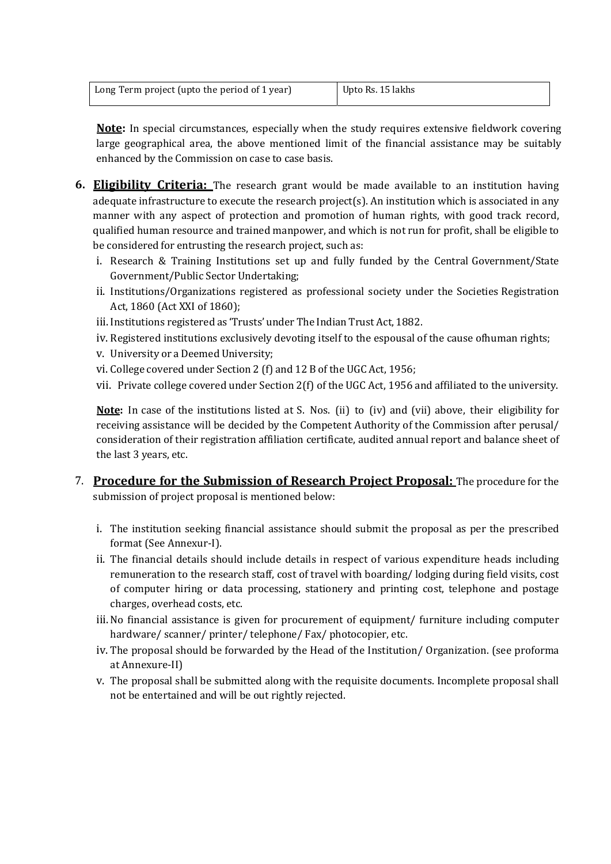| Long Term project (upto the period of 1 year) | Upto Rs. 15 lakhs |
|-----------------------------------------------|-------------------|
|                                               |                   |

Note: In special circumstances, especially when the study requires extensive fieldwork covering large geographical area, the above mentioned limit of the financial assistance may be suitably enhanced by the Commission on case to case basis.

- **6. Eligibility Criteria:** The research grant would be made available to an institution having adequate infrastructure to execute the research project(s). An institution which is associated in any manner with any aspect of protection and promotion of human rights, with good track record, qualified human resource and trained manpower, and which is not run for profit, shall be eligible to be considered for entrusting the research project, such as:
	- i. Research & Training Institutions set up and fully funded by the Central Government/State Government/Public Sector Undertaking;
	- ii. Institutions/Organizations registered as professional society under the Societies Registration Act, 1860 (Act XXI of 1860);
	- iii. Institutions registered as 'Trusts' under The Indian Trust Act, 1882.
	- iv. Registered institutions exclusively devoting itself to the espousal of the cause of human rights;
	- v. University or a Deemed University;
	- vi. College covered under Section 2 (f) and 12 B of the UGC Act, 1956;
	- vii. Private college covered under Section 2(f) of the UGC Act, 1956 and affiliated to the university.

Note: In case of the institutions listed at S. Nos. (ii) to (iv) and (vii) above, their eligibility for receiving assistance will be decided by the Competent Authority of the Commission after perusal/ consideration of their registration affiliation certificate, audited annual report and balance sheet of the last 3 years, etc.

- 7. Procedure for the Submission of Research Project Proposal: The procedure for the submission of project proposal is mentioned below:
	- i. The institution seeking financial assistance should submit the proposal as per the prescribed format (See Annexur-I).
	- ii. The financial details should include details in respect of various expenditure heads including remuneration to the research staff, cost of travel with boarding/ lodging during field visits, cost of computer hiring or data processing, stationery and printing cost, telephone and postage charges, overhead costs, etc.
	- iii.No financial assistance is given for procurement of equipment/ furniture including computer hardware/ scanner/ printer/ telephone/ Fax/ photocopier, etc.
	- iv. The proposal should be forwarded by the Head of the Institution/ Organization. (see proforma at Annexure-II)
	- v. The proposal shall be submitted along with the requisite documents. Incomplete proposal shall not be entertained and will be out rightly rejected.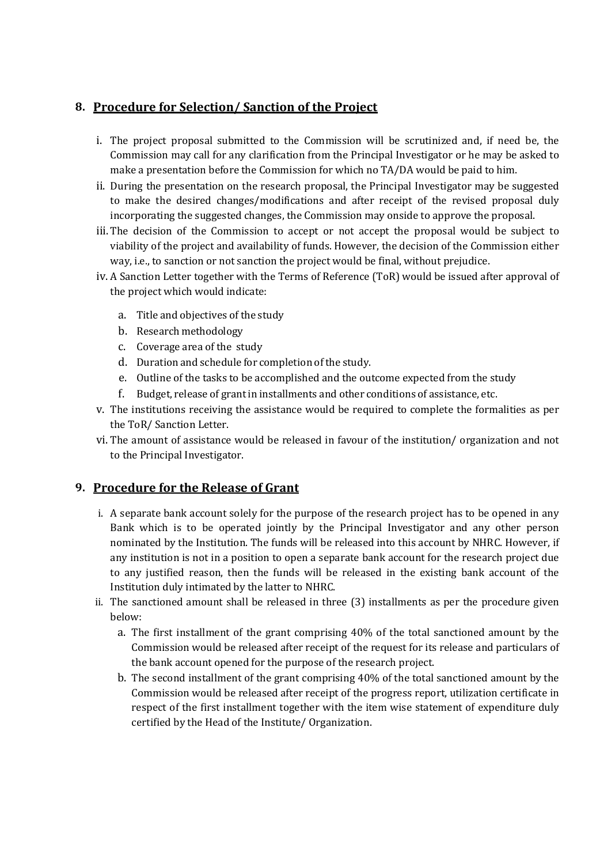### 8. Procedure for Selection/ Sanction of the Project

- i. The project proposal submitted to the Commission will be scrutinized and, if need be, the Commission may call for any clarification from the Principal Investigator or he may be asked to make a presentation before the Commission for which no TA/DA would be paid to him.
- ii. During the presentation on the research proposal, the Principal Investigator may be suggested to make the desired changes/modifications and after receipt of the revised proposal duly incorporating the suggested changes, the Commission may onside to approve the proposal.
- iii.The decision of the Commission to accept or not accept the proposal would be subject to viability of the project and availability of funds. However, the decision of the Commission either way, i.e., to sanction or not sanction the project would be final, without prejudice.
- iv. A Sanction Letter together with the Terms of Reference (ToR) would be issued after approval of the project which would indicate:
	- a. Title and objectives of the study
	- b. Research methodology
	- c. Coverage area of the study
	- d. Duration and schedule for completion of the study.
	- e. Outline of the tasks to be accomplished and the outcome expected from the study
	- f. Budget, release of grant in installments and other conditions of assistance, etc.
- v. The institutions receiving the assistance would be required to complete the formalities as per the ToR/ Sanction Letter.
- vi. The amount of assistance would be released in favour of the institution/ organization and not to the Principal Investigator.

## 9. Procedure for the Release of Grant

- i. A separate bank account solely for the purpose of the research project has to be opened in any Bank which is to be operated jointly by the Principal Investigator and any other person nominated by the Institution. The funds will be released into this account by NHRC. However, if any institution is not in a position to open a separate bank account for the research project due to any justified reason, then the funds will be released in the existing bank account of the Institution duly intimated by the latter to NHRC.
- ii. The sanctioned amount shall be released in three (3) installments as per the procedure given below:
	- a. The first installment of the grant comprising 40% of the total sanctioned amount by the Commission would be released after receipt of the request for its release and particulars of the bank account opened for the purpose of the research project.
	- b. The second installment of the grant comprising 40% of the total sanctioned amount by the Commission would be released after receipt of the progress report, utilization certificate in respect of the first installment together with the item wise statement of expenditure duly certified by the Head of the Institute/ Organization.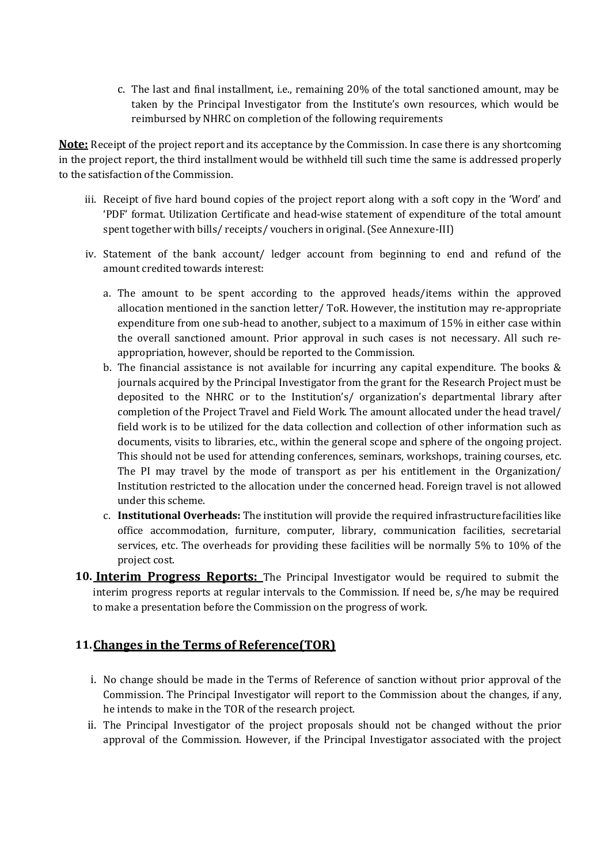c. The last and final installment, i.e., remaining 20% of the total sanctioned amount, may be taken by the Principal Investigator from the Institute's own resources, which would be reimbursed by NHRC on completion of the following requirements

Note: Receipt of the project report and its acceptance by the Commission. In case there is any shortcoming in the project report, the third installment would be withheld till such time the same is addressed properly to the satisfaction of the Commission.

- iii. Receipt of five hard bound copies of the project report along with a soft copy in the 'Word' and 'PDF' format. Utilization Certificate and head-wise statement of expenditure of the total amount spent together with bills/ receipts/ vouchers in original. (See Annexure-III)
- iv. Statement of the bank account/ ledger account from beginning to end and refund of the amount credited towards interest:
	- a. The amount to be spent according to the approved heads/items within the approved allocation mentioned in the sanction letter/ ToR. However, the institution may re-appropriate expenditure from one sub-head to another, subject to a maximum of 15% in either case within the overall sanctioned amount. Prior approval in such cases is not necessary. All such reappropriation, however, should be reported to the Commission.
	- b. The financial assistance is not available for incurring any capital expenditure. The books & journals acquired by the Principal Investigator from the grant for the Research Project must be deposited to the NHRC or to the Institution's/ organization's departmental library after completion of the Project Travel and Field Work. The amount allocated under the head travel/ field work is to be utilized for the data collection and collection of other information such as documents, visits to libraries, etc., within the general scope and sphere of the ongoing project. This should not be used for attending conferences, seminars, workshops, training courses, etc. The PI may travel by the mode of transport as per his entitlement in the Organization/ Institution restricted to the allocation under the concerned head. Foreign travel is not allowed under this scheme.
	- c. Institutional Overheads: The institution will provide the required infrastructure facilities like office accommodation, furniture, computer, library, communication facilities, secretarial services, etc. The overheads for providing these facilities will be normally 5% to 10% of the project cost.
- 10. **Interim Progress Reports:** The Principal Investigator would be required to submit the interim progress reports at regular intervals to the Commission. If need be, s/he may be required to make a presentation before the Commission on the progress of work.

### 11.Changes in the Terms of Reference(TOR)

- i. No change should be made in the Terms of Reference of sanction without prior approval of the Commission. The Principal Investigator will report to the Commission about the changes, if any, he intends to make in the TOR of the research project.
- ii. The Principal Investigator of the project proposals should not be changed without the prior approval of the Commission. However, if the Principal Investigator associated with the project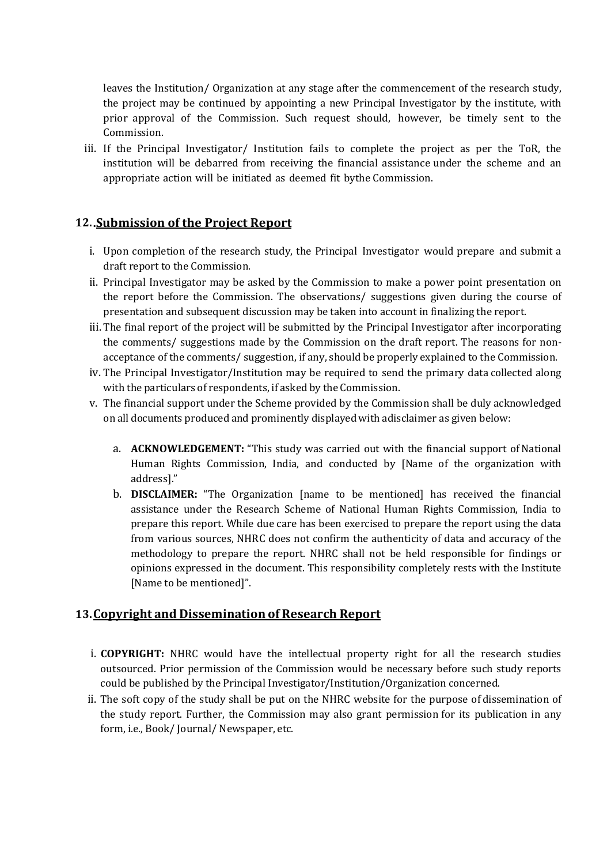leaves the Institution/ Organization at any stage after the commencement of the research study, the project may be continued by appointing a new Principal Investigator by the institute, with prior approval of the Commission. Such request should, however, be timely sent to the Commission.

iii. If the Principal Investigator/ Institution fails to complete the project as per the ToR, the institution will be debarred from receiving the financial assistance under the scheme and an appropriate action will be initiated as deemed fit by the Commission.

### 12..Submission of the Project Report

- i. Upon completion of the research study, the Principal Investigator would prepare and submit a draft report to the Commission.
- ii. Principal Investigator may be asked by the Commission to make a power point presentation on the report before the Commission. The observations/ suggestions given during the course of presentation and subsequent discussion may be taken into account in finalizing the report.
- iii. The final report of the project will be submitted by the Principal Investigator after incorporating the comments/ suggestions made by the Commission on the draft report. The reasons for nonacceptance of the comments/ suggestion, if any, should be properly explained to the Commission.
- iv. The Principal Investigator/Institution may be required to send the primary data collected along with the particulars of respondents, if asked by the Commission.
- v. The financial support under the Scheme provided by the Commission shall be duly acknowledged on all documents produced and prominently displayed with a disclaimer as given below:
	- a. ACKNOWLEDGEMENT: "This study was carried out with the financial support of National Human Rights Commission, India, and conducted by [Name of the organization with address]."
	- b. DISCLAIMER: "The Organization [name to be mentioned] has received the financial assistance under the Research Scheme of National Human Rights Commission, India to prepare this report. While due care has been exercised to prepare the report using the data from various sources, NHRC does not confirm the authenticity of data and accuracy of the methodology to prepare the report. NHRC shall not be held responsible for findings or opinions expressed in the document. This responsibility completely rests with the Institute [Name to be mentioned]".

#### 13.Copyright and Dissemination of Research Report

- i. **COPYRIGHT:** NHRC would have the intellectual property right for all the research studies outsourced. Prior permission of the Commission would be necessary before such study reports could be published by the Principal Investigator/Institution/Organization concerned.
- ii. The soft copy of the study shall be put on the NHRC website for the purpose of dissemination of the study report. Further, the Commission may also grant permission for its publication in any form, i.e., Book/ Journal/ Newspaper, etc.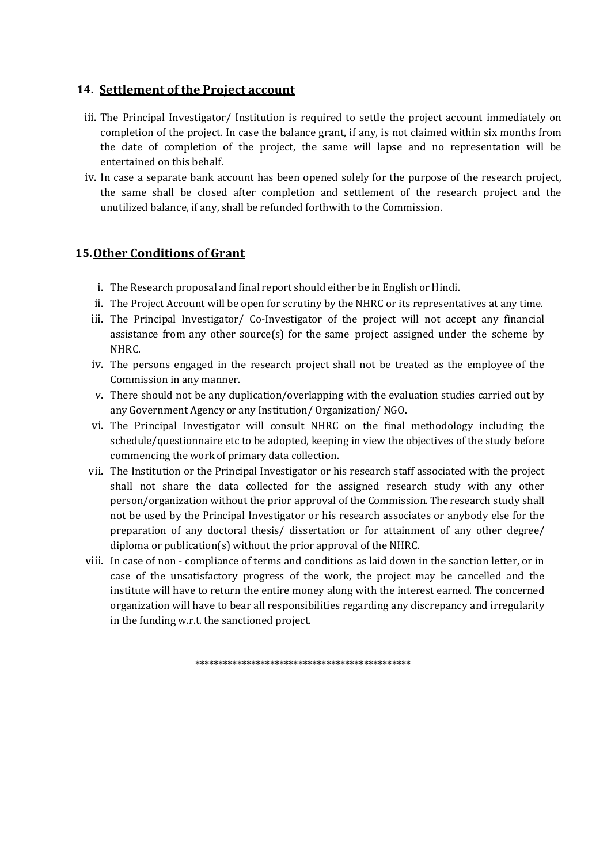### 14. Settlement of the Project account

- iii. The Principal Investigator/ Institution is required to settle the project account immediately on completion of the project. In case the balance grant, if any, is not claimed within six months from the date of completion of the project, the same will lapse and no representation will be entertained on this behalf.
- iv. In case a separate bank account has been opened solely for the purpose of the research project, the same shall be closed after completion and settlement of the research project and the unutilized balance, if any, shall be refunded forthwith to the Commission.

#### 15.Other Conditions of Grant

- i. The Research proposal and final report should either be in English or Hindi.
- ii. The Project Account will be open for scrutiny by the NHRC or its representatives at any time.
- iii. The Principal Investigator/ Co-Investigator of the project will not accept any financial assistance from any other source(s) for the same project assigned under the scheme by NHRC.
- iv. The persons engaged in the research project shall not be treated as the employee of the Commission in any manner.
- v. There should not be any duplication/overlapping with the evaluation studies carried out by any Government Agency or any Institution/ Organization/ NGO.
- vi. The Principal Investigator will consult NHRC on the final methodology including the schedule/questionnaire etc to be adopted, keeping in view the objectives of the study before commencing the work of primary data collection.
- vii. The Institution or the Principal Investigator or his research staff associated with the project shall not share the data collected for the assigned research study with any other person/organization without the prior approval of the Commission. The research study shall not be used by the Principal Investigator or his research associates or anybody else for the preparation of any doctoral thesis/ dissertation or for attainment of any other degree/ diploma or publication(s) without the prior approval of the NHRC.
- viii. In case of non compliance of terms and conditions as laid down in the sanction letter, or in case of the unsatisfactory progress of the work, the project may be cancelled and the institute will have to return the entire money along with the interest earned. The concerned organization will have to bear all responsibilities regarding any discrepancy and irregularity in the funding w.r.t. the sanctioned project.

\*\*\*\*\*\*\*\*\*\*\*\*\*\*\*\*\*\*\*\*\*\*\*\*\*\*\*\*\*\*\*\*\*\*\*\*\*\*\*\*\*\*\*\*\*\*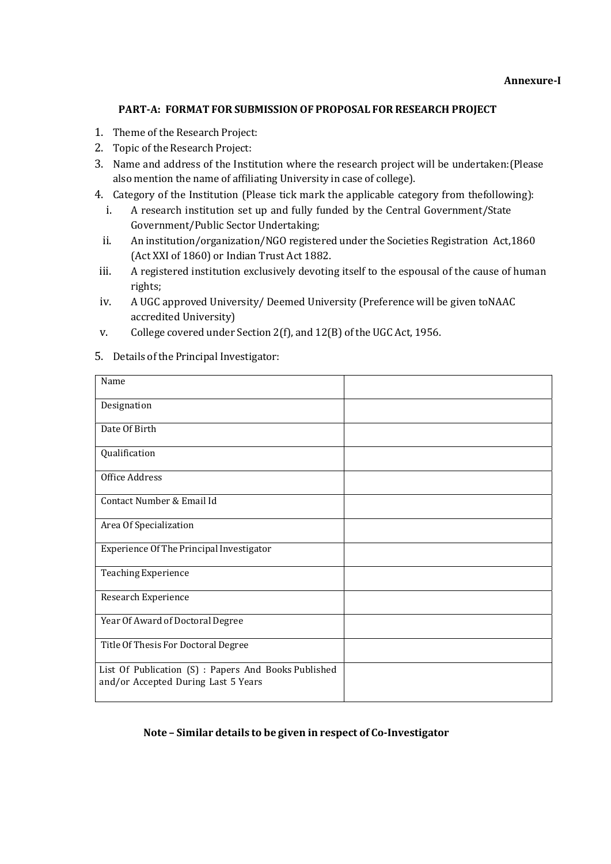#### PART-A: FORMAT FOR SUBMISSION OF PROPOSAL FOR RESEARCH PROJECT

- 1. Theme of the Research Project:
- 2. Topic of the Research Project:
- 3. Name and address of the Institution where the research project will be undertaken: (Please also mention the name of affiliating University in case of college).
- 4. Category of the Institution (Please tick mark the applicable category from the following):
	- i. A research institution set up and fully funded by the Central Government/State Government/Public Sector Undertaking;
	- ii. An institution/organization/NGO registered under the Societies Registration Act, 1860 (Act XXI of 1860) or Indian Trust Act 1882.
- iii. A registered institution exclusively devoting itself to the espousal of the cause of human rights;
- iv. A UGC approved University/ Deemed University (Preference will be given to NAAC accredited University)
- v. College covered under Section 2(f), and 12(B) of the UGC Act, 1956.
- 5. Details of the Principal Investigator:

| Name                                                                                        |  |
|---------------------------------------------------------------------------------------------|--|
| Designation                                                                                 |  |
| Date Of Birth                                                                               |  |
| Qualification                                                                               |  |
| Office Address                                                                              |  |
| Contact Number & Email Id                                                                   |  |
| Area Of Specialization                                                                      |  |
| Experience Of The Principal Investigator                                                    |  |
| <b>Teaching Experience</b>                                                                  |  |
| Research Experience                                                                         |  |
| Year Of Award of Doctoral Degree                                                            |  |
| Title Of Thesis For Doctoral Degree                                                         |  |
| List Of Publication (S) : Papers And Books Published<br>and/or Accepted During Last 5 Years |  |

#### Note – Similar details to be given in respect of Co-Investigator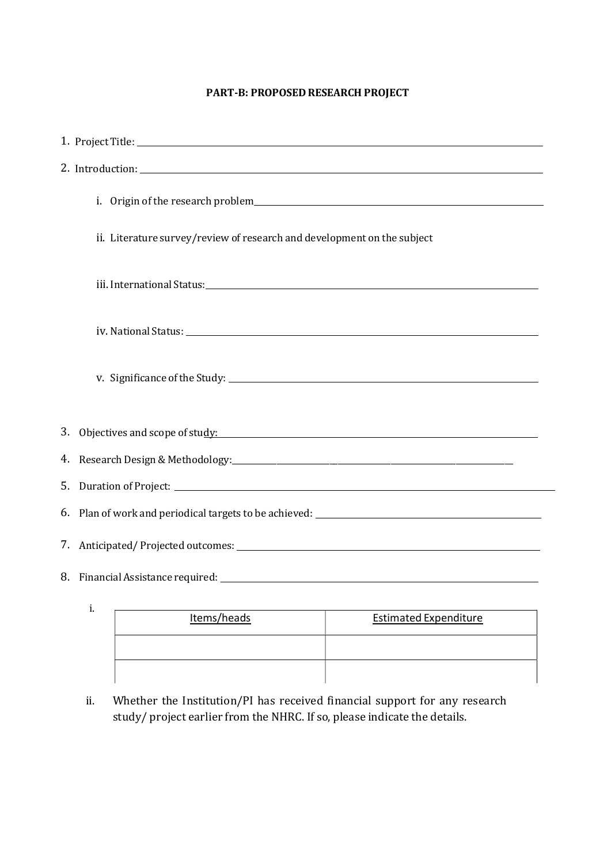#### PART-B: PROPOSED RESEARCH PROJECT

| ii. Literature survey/review of research and development on the subject |
|-------------------------------------------------------------------------|
|                                                                         |
|                                                                         |
|                                                                         |
| 3. Objectives and scope of study:                                       |
|                                                                         |
|                                                                         |
|                                                                         |
|                                                                         |
|                                                                         |
| i.                                                                      |

| Items/heads | <b>Estimated Expenditure</b> |  |
|-------------|------------------------------|--|
|             |                              |  |
|             |                              |  |

ii. Whether the Institution/PI has received financial support for any research study/ project earlier from the NHRC. If so, please indicate the details.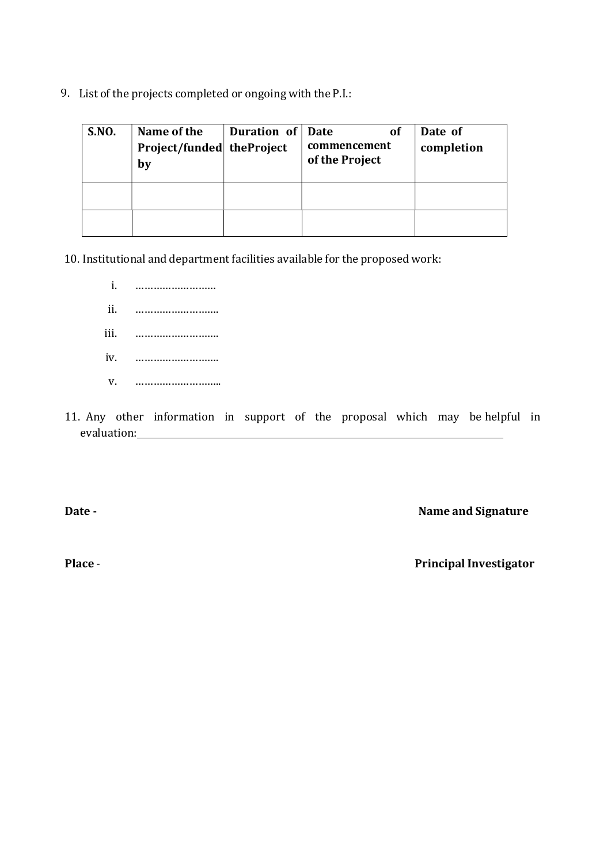9. List of the projects completed or ongoing with the P.I.:

| <b>S.NO.</b> | Name of the<br>Project/funded theProject<br>by | Duration of | Date<br>Οf<br>commencement<br>of the Project | Date of<br>completion |
|--------------|------------------------------------------------|-------------|----------------------------------------------|-----------------------|
|              |                                                |             |                                              |                       |

10. Institutional and department facilities available for the proposed work:

- i. ……………………… ii. ………………………. iii. ………………………. iv. ………………………. v. ………………………..
- 11. Any other information in support of the proposal which may be helpful in evaluation:

Date - Name and Signature

Place - Place - Principal Investigator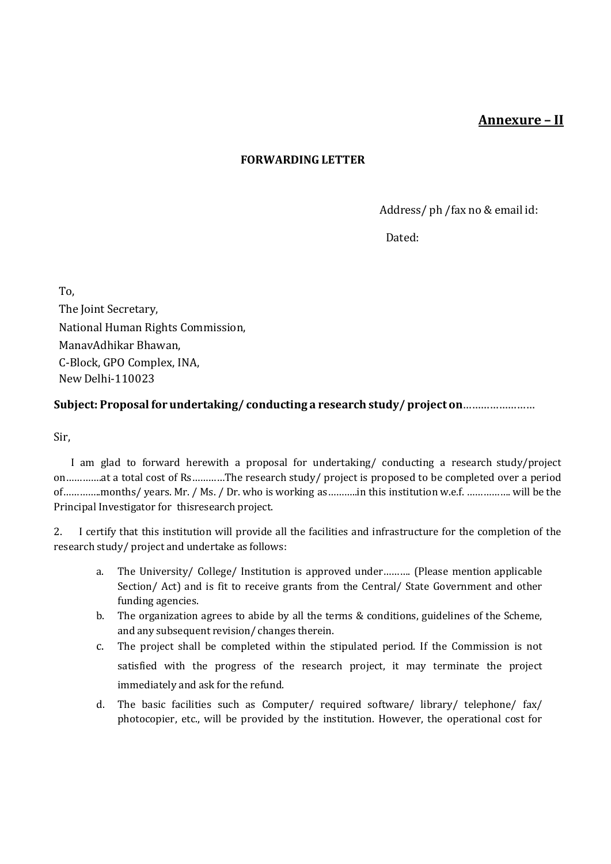# Annexure – II

### FORWARDING LETTER

Address/ ph / fax no & email id:

Dated:

To, The Joint Secretary, National Human Rights Commission, Manav Adhikar Bhawan, C-Block, GPO Complex, INA, New Delhi-110023

### Subject: Proposal for undertaking/conducting a research study/project on ...........................

Sir,

 I am glad to forward herewith a proposal for undertaking/ conducting a research study/project on………….at a total cost of Rs…………The research study/ project is proposed to be completed over a period of…………..months/ years. Mr. / Ms. / Dr. who is working as………..in this institution w.e.f. ……………. will be the Principal Investigator for this research project.

2. I certify that this institution will provide all the facilities and infrastructure for the completion of the research study/ project and undertake as follows:

- a. The University/ College/ Institution is approved under………. (Please mention applicable Section/ Act) and is fit to receive grants from the Central/ State Government and other funding agencies.
- b. The organization agrees to abide by all the terms & conditions, guidelines of the Scheme, and any subsequent revision/ changes therein.
- c. The project shall be completed within the stipulated period. If the Commission is not satisfied with the progress of the research project, it may terminate the project immediately and ask for the refund.
- d. The basic facilities such as Computer/ required software/ library/ telephone/ fax/ photocopier, etc., will be provided by the institution. However, the operational cost for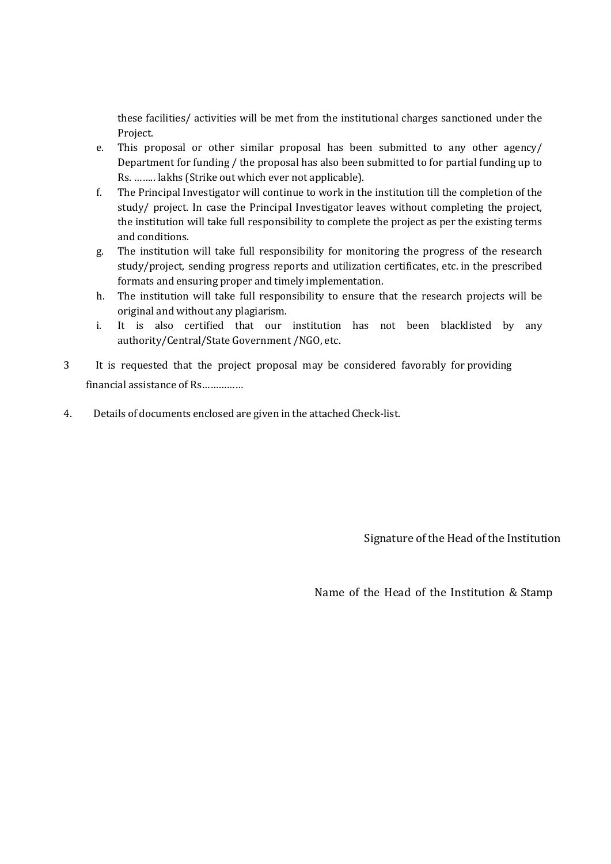these facilities/ activities will be met from the institutional charges sanctioned under the Project.

- e. This proposal or other similar proposal has been submitted to any other agency/ Department for funding / the proposal has also been submitted to for partial funding up to Rs. …….. lakhs (Strike out which ever not applicable).
- f. The Principal Investigator will continue to work in the institution till the completion of the study/ project. In case the Principal Investigator leaves without completing the project, the institution will take full responsibility to complete the project as per the existing terms and conditions.
- g. The institution will take full responsibility for monitoring the progress of the research study/project, sending progress reports and utilization certificates, etc. in the prescribed formats and ensuring proper and timely implementation.
- h. The institution will take full responsibility to ensure that the research projects will be original and without any plagiarism.
- i. It is also certified that our institution has not been blacklisted by any authority/Central/State Government /NGO, etc.
- 3 It is requested that the project proposal may be considered favorably for providing financial assistance of Rs……………
- 4. Details of documents enclosed are given in the attached Check-list.

Signature of the Head of the Institution

Name of the Head of the Institution & Stamp